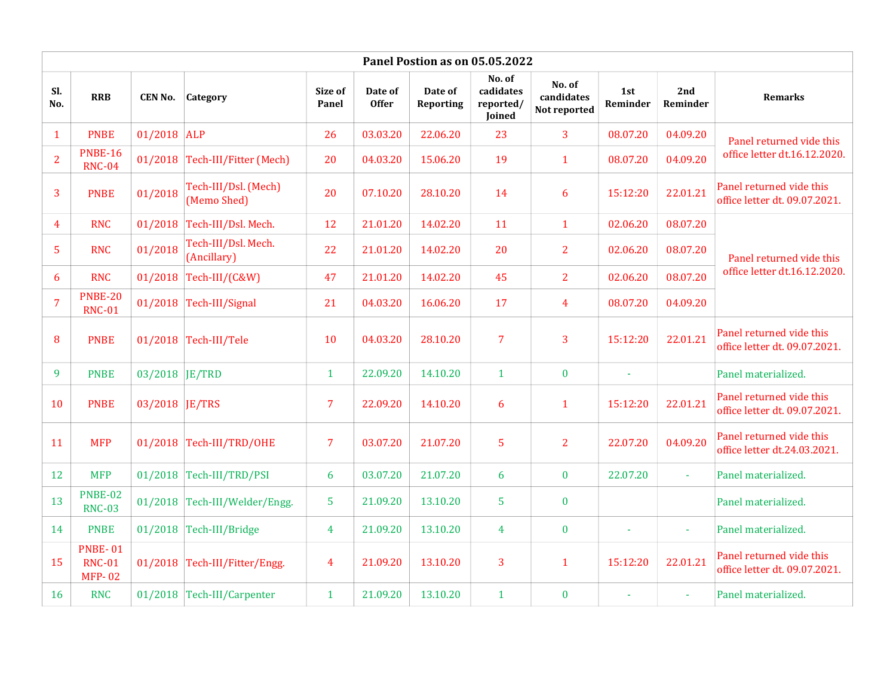| Panel Postion as on 05.05.2022 |                                                  |                |                                     |                  |                         |                             |                                            |                                      |                 |                 |                                                           |
|--------------------------------|--------------------------------------------------|----------------|-------------------------------------|------------------|-------------------------|-----------------------------|--------------------------------------------|--------------------------------------|-----------------|-----------------|-----------------------------------------------------------|
| Sl.<br>No.                     | <b>RRB</b>                                       | CEN No.        | Category                            | Size of<br>Panel | Date of<br><b>Offer</b> | Date of<br><b>Reporting</b> | No. of<br>cadidates<br>reported/<br>Joined | No. of<br>candidates<br>Not reported | 1st<br>Reminder | 2nd<br>Reminder | <b>Remarks</b>                                            |
| $\mathbf{1}$                   | <b>PNBE</b>                                      | 01/2018 ALP    |                                     | 26               | 03.03.20                | 22.06.20                    | 23                                         | 3                                    | 08.07.20        | 04.09.20        | Panel returned vide this<br>office letter dt.16.12.2020.  |
| $\overline{2}$                 | <b>PNBE-16</b><br><b>RNC-04</b>                  |                | 01/2018 Tech-III/Fitter (Mech)      | 20               | 04.03.20                | 15.06.20                    | 19                                         | $\mathbf{1}$                         | 08.07.20        | 04.09.20        |                                                           |
| $\overline{3}$                 | <b>PNBE</b>                                      | 01/2018        | Tech-III/Dsl. (Mech)<br>(Memo Shed) | 20               | 07.10.20                | 28.10.20                    | 14                                         | 6                                    | 15:12:20        | 22.01.21        | Panel returned vide this<br>office letter dt. 09.07.2021. |
| 4                              | <b>RNC</b>                                       | 01/2018        | Tech-III/Dsl. Mech.                 | 12               | 21.01.20                | 14.02.20                    | 11                                         | $\mathbf{1}$                         | 02.06.20        | 08.07.20        |                                                           |
| 5                              | <b>RNC</b>                                       | 01/2018        | Tech-III/Dsl. Mech.<br>(Ancillary)  | 22               | 21.01.20                | 14.02.20                    | 20                                         | $\overline{2}$                       | 02.06.20        | 08.07.20        | Panel returned vide this<br>office letter dt.16.12.2020.  |
| 6                              | <b>RNC</b>                                       | 01/2018        | Tech-III/(C&W)                      | 47               | 21.01.20                | 14.02.20                    | 45                                         | $\overline{2}$                       | 02.06.20        | 08.07.20        |                                                           |
| $\overline{7}$                 | <b>PNBE-20</b><br><b>RNC-01</b>                  | 01/2018        | Tech-III/Signal                     | 21               | 04.03.20                | 16.06.20                    | 17                                         | 4                                    | 08.07.20        | 04.09.20        |                                                           |
| 8                              | <b>PNBE</b>                                      |                | 01/2018 Tech-III/Tele               | 10               | 04.03.20                | 28.10.20                    | $\overline{7}$                             | 3                                    | 15:12:20        | 22.01.21        | Panel returned vide this<br>office letter dt. 09.07.2021. |
| 9                              | <b>PNBE</b>                                      | 03/2018 JE/TRD |                                     | $\mathbf{1}$     | 22.09.20                | 14.10.20                    | $\mathbf{1}$                               | $\bf{0}$                             | $\omega$        |                 | Panel materialized.                                       |
| 10                             | <b>PNBE</b>                                      | 03/2018 JE/TRS |                                     | $\overline{7}$   | 22.09.20                | 14.10.20                    | 6                                          | $\mathbf{1}$                         | 15:12:20        | 22.01.21        | Panel returned vide this<br>office letter dt. 09.07.2021. |
| 11                             | <b>MFP</b>                                       |                | 01/2018 Tech-III/TRD/OHE            | $\overline{7}$   | 03.07.20                | 21.07.20                    | 5                                          | $\overline{2}$                       | 22.07.20        | 04.09.20        | Panel returned vide this<br>office letter dt.24.03.2021.  |
| 12                             | <b>MFP</b>                                       |                | 01/2018 Tech-III/TRD/PSI            | 6                | 03.07.20                | 21.07.20                    | 6                                          | $\bf{0}$                             | 22.07.20        |                 | Panel materialized.                                       |
| 13                             | <b>PNBE-02</b><br><b>RNC-03</b>                  |                | 01/2018 Tech-III/Welder/Engg.       | 5                | 21.09.20                | 13.10.20                    | 5                                          | $\bf{0}$                             |                 |                 | Panel materialized.                                       |
| 14                             | <b>PNBE</b>                                      |                | $01/2018$ Tech-III/Bridge           | 4                | 21.09.20                | 13.10.20                    | 4                                          | $\bf{0}$                             | $\sim$          | $\sim$          | Panel materialized.                                       |
| 15                             | <b>PNBE-01</b><br><b>RNC-01</b><br><b>MFP-02</b> |                | 01/2018 Tech-III/Fitter/Engg.       | $\overline{4}$   | 21.09.20                | 13.10.20                    | 3                                          | $\mathbf{1}$                         | 15:12:20        | 22.01.21        | Panel returned vide this<br>office letter dt. 09.07.2021. |
| 16                             | <b>RNC</b>                                       |                | 01/2018 Tech-III/Carpenter          | $\mathbf{1}$     | 21.09.20                | 13.10.20                    | $\mathbf{1}$                               | $\bf{0}$                             |                 |                 | Panel materialized.                                       |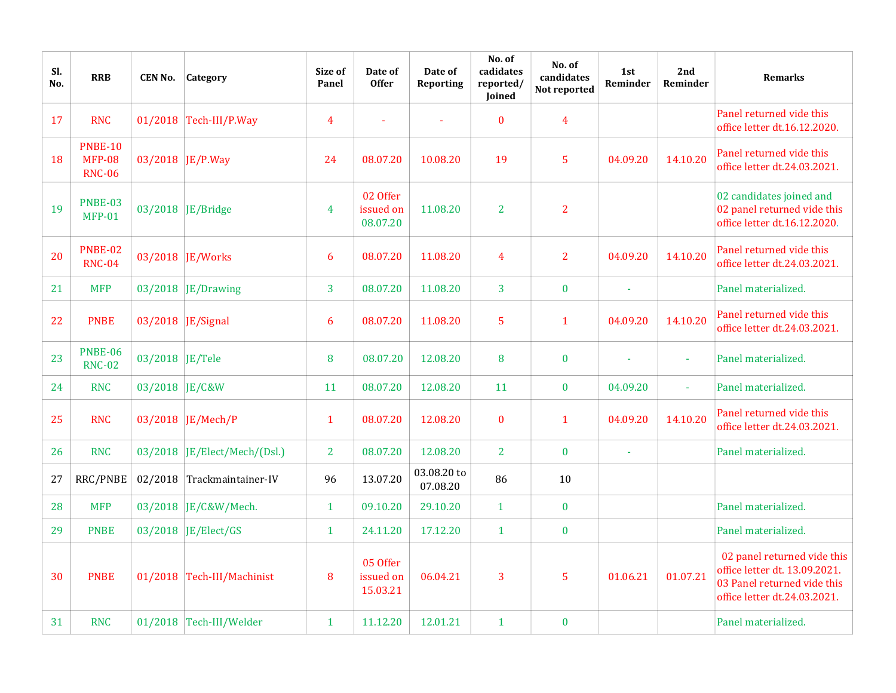| SI.<br>No. | <b>RRB</b>                                       | <b>CEN No.</b>  | Category                       | Size of<br>Panel | Date of<br><b>Offer</b>           | Date of<br>Reporting    | No. of<br>cadidates<br>reported/<br>Joined | No. of<br>candidates<br>Not reported | 1st<br>Reminder | 2nd<br>Reminder | <b>Remarks</b>                                                                                                              |
|------------|--------------------------------------------------|-----------------|--------------------------------|------------------|-----------------------------------|-------------------------|--------------------------------------------|--------------------------------------|-----------------|-----------------|-----------------------------------------------------------------------------------------------------------------------------|
| 17         | <b>RNC</b>                                       |                 | 01/2018 $Tech-III/P.Way$       | 4                |                                   |                         | $\bf{0}$                                   | 4                                    |                 |                 | Panel returned vide this<br>office letter dt.16.12.2020.                                                                    |
| 18         | <b>PNBE-10</b><br><b>MFP-08</b><br><b>RNC-06</b> |                 | 03/2018 JE/P.Way               | 24               | 08.07.20                          | 10.08.20                | 19                                         | 5                                    | 04.09.20        | 14.10.20        | Panel returned vide this<br>office letter dt.24.03.2021.                                                                    |
| 19         | PNBE-03<br><b>MFP-01</b>                         |                 | 03/2018   JE/Bridge            | 4                | 02 Offer<br>issued on<br>08.07.20 | 11.08.20                | $\overline{2}$                             | $\overline{2}$                       |                 |                 | 02 candidates joined and<br>02 panel returned vide this<br>office letter dt.16.12.2020.                                     |
| 20         | <b>PNBE-02</b><br><b>RNC-04</b>                  |                 | 03/2018 JE/Works               | 6                | 08.07.20                          | 11.08.20                | 4                                          | $\overline{2}$                       | 04.09.20        | 14.10.20        | Panel returned vide this<br>office letter dt.24.03.2021.                                                                    |
| 21         | <b>MFP</b>                                       |                 | $03/2018$ JE/Drawing           | 3                | 08.07.20                          | 11.08.20                | 3                                          | $\bf{0}$                             | Ĭ.              |                 | Panel materialized.                                                                                                         |
| 22         | <b>PNBE</b>                                      |                 | 03/2018   JE/Signal            | 6                | 08.07.20                          | 11.08.20                | 5                                          | $\mathbf{1}$                         | 04.09.20        | 14.10.20        | Panel returned vide this<br>office letter dt.24.03.2021.                                                                    |
| 23         | <b>PNBE-06</b><br><b>RNC-02</b>                  | 03/2018 JE/Tele |                                | 8                | 08.07.20                          | 12.08.20                | 8                                          | $\bf{0}$                             |                 |                 | Panel materialized.                                                                                                         |
| 24         | <b>RNC</b>                                       | 03/2018 JE/C&W  |                                | 11               | 08.07.20                          | 12.08.20                | 11                                         | $\bf{0}$                             | 04.09.20        | ÷               | Panel materialized.                                                                                                         |
| 25         | <b>RNC</b>                                       |                 | 03/2018 JE/Mech/P              | $\mathbf{1}$     | 08.07.20                          | 12.08.20                | $\bf{0}$                                   | $\mathbf{1}$                         | 04.09.20        | 14.10.20        | Panel returned vide this<br>office letter dt.24.03.2021.                                                                    |
| 26         | <b>RNC</b>                                       |                 | $03/2018$ JE/Elect/Mech/(Dsl.) | $\overline{2}$   | 08.07.20                          | 12.08.20                | 2                                          | $\bf{0}$                             | Ĭ.              |                 | Panel materialized.                                                                                                         |
| 27         | RRC/PNBE                                         |                 | 02/2018 Trackmaintainer-IV     | 96               | 13.07.20                          | 03.08.20 to<br>07.08.20 | 86                                         | 10                                   |                 |                 |                                                                                                                             |
| 28         | <b>MFP</b>                                       |                 | 03/2018 JE/C&W/Mech.           | $\mathbf{1}$     | 09.10.20                          | 29.10.20                | $\mathbf{1}$                               | $\bf{0}$                             |                 |                 | Panel materialized.                                                                                                         |
| 29         | <b>PNBE</b>                                      |                 | 03/2018 JE/Elect/GS            | $\mathbf{1}$     | 24.11.20                          | 17.12.20                | $\mathbf{1}$                               | $\bf{0}$                             |                 |                 | Panel materialized.                                                                                                         |
| 30         | <b>PNBE</b>                                      |                 | 01/2018 Tech-III/Machinist     | 8                | 05 Offer<br>issued on<br>15.03.21 | 06.04.21                | 3                                          | 5                                    | 01.06.21        | 01.07.21        | 02 panel returned vide this<br>office letter dt. 13.09.2021.<br>03 Panel returned vide this<br>office letter dt.24.03.2021. |
| 31         | <b>RNC</b>                                       |                 | 01/2018 Tech-III/Welder        | $\mathbf{1}$     | 11.12.20                          | 12.01.21                | $\mathbf{1}$                               | $\pmb{0}$                            |                 |                 | Panel materialized.                                                                                                         |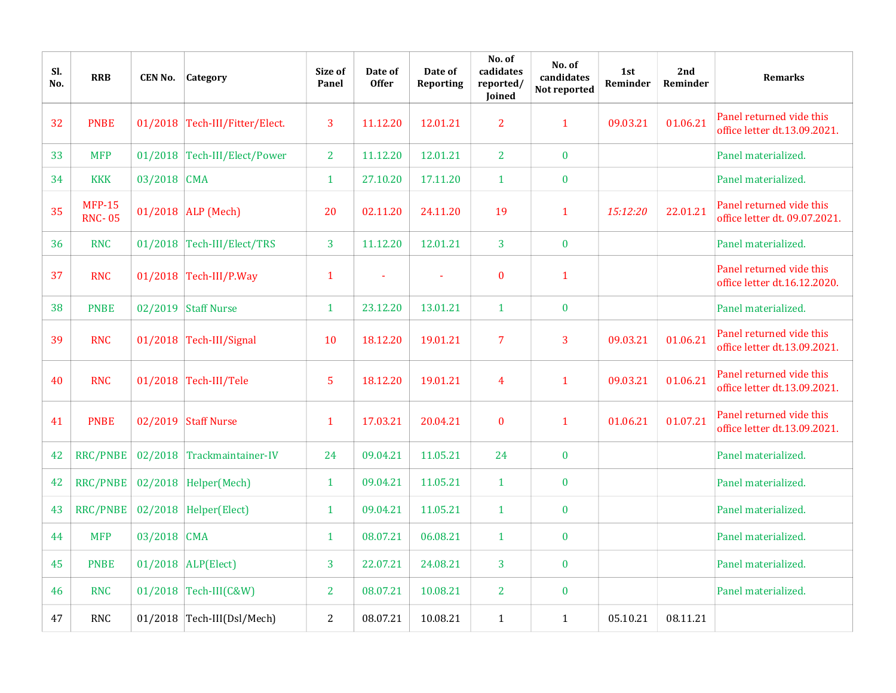| SI.<br>No. | <b>RRB</b>                     | <b>CEN No.</b> | Category                       | Size of<br>Panel | Date of<br><b>Offer</b> | Date of<br>Reporting | No. of<br>cadidates<br>reported/<br>Joined | No. of<br>candidates<br>Not reported | 1st<br>Reminder | 2nd<br>Reminder | <b>Remarks</b>                                            |
|------------|--------------------------------|----------------|--------------------------------|------------------|-------------------------|----------------------|--------------------------------------------|--------------------------------------|-----------------|-----------------|-----------------------------------------------------------|
| 32         | <b>PNBE</b>                    |                | 01/2018 Tech-III/Fitter/Elect. | 3                | 11.12.20                | 12.01.21             | $\overline{2}$                             | $\mathbf{1}$                         | 09.03.21        | 01.06.21        | Panel returned vide this<br>office letter dt.13.09.2021.  |
| 33         | <b>MFP</b>                     |                | 01/2018 Tech-III/Elect/Power   | $\overline{2}$   | 11.12.20                | 12.01.21             | $\overline{2}$                             | $\bf{0}$                             |                 |                 | Panel materialized.                                       |
| 34         | <b>KKK</b>                     | 03/2018        | <b>CMA</b>                     | $\mathbf{1}$     | 27.10.20                | 17.11.20             | $\mathbf{1}$                               | $\bf{0}$                             |                 |                 | Panel materialized.                                       |
| 35         | <b>MFP-15</b><br><b>RNC-05</b> |                | 01/2018 ALP (Mech)             | 20               | 02.11.20                | 24.11.20             | 19                                         | $\mathbf{1}$                         | 15:12:20        | 22.01.21        | Panel returned vide this<br>office letter dt. 09.07.2021. |
| 36         | <b>RNC</b>                     |                | 01/2018 Tech-III/Elect/TRS     | $\overline{3}$   | 11.12.20                | 12.01.21             | $\overline{3}$                             | $\bf{0}$                             |                 |                 | Panel materialized.                                       |
| 37         | <b>RNC</b>                     |                | $01/2018$ Tech-III/P.Way       | $\mathbf{1}$     |                         |                      | $\mathbf{0}$                               | $\mathbf{1}$                         |                 |                 | Panel returned vide this<br>office letter dt.16.12.2020.  |
| 38         | <b>PNBE</b>                    |                | 02/2019 Staff Nurse            | $\mathbf{1}$     | 23.12.20                | 13.01.21             | $\mathbf{1}$                               | $\bf{0}$                             |                 |                 | Panel materialized.                                       |
| 39         | <b>RNC</b>                     |                | 01/2018 Tech-III/Signal        | 10               | 18.12.20                | 19.01.21             | $\overline{7}$                             | 3                                    | 09.03.21        | 01.06.21        | Panel returned vide this<br>office letter dt.13.09.2021.  |
| 40         | <b>RNC</b>                     |                | 01/2018 Tech-III/Tele          | $\sqrt{5}$       | 18.12.20                | 19.01.21             | 4                                          | $\mathbf{1}$                         | 09.03.21        | 01.06.21        | Panel returned vide this<br>office letter dt.13.09.2021.  |
| 41         | <b>PNBE</b>                    |                | 02/2019 Staff Nurse            | $\mathbf{1}$     | 17.03.21                | 20.04.21             | $\bf{0}$                                   | $\mathbf{1}$                         | 01.06.21        | 01.07.21        | Panel returned vide this<br>office letter dt.13.09.2021.  |
| 42         | <b>RRC/PNBE</b>                |                | 02/2018 Trackmaintainer-IV     | 24               | 09.04.21                | 11.05.21             | 24                                         | $\bf{0}$                             |                 |                 | Panel materialized.                                       |
| 42         | RRC/PNBE                       |                | $02/2018$ Helper(Mech)         | $\mathbf{1}$     | 09.04.21                | 11.05.21             | $\mathbf{1}$                               | $\bf{0}$                             |                 |                 | Panel materialized.                                       |
| 43         | <b>RRC/PNBE</b>                |                | $02/2018$ Helper(Elect)        | $\mathbf{1}$     | 09.04.21                | 11.05.21             | $\mathbf{1}$                               | $\bf{0}$                             |                 |                 | Panel materialized.                                       |
| 44         | <b>MFP</b>                     | 03/2018 CMA    |                                | $\mathbf{1}$     | 08.07.21                | 06.08.21             | $\mathbf{1}$                               | $\bf{0}$                             |                 |                 | Panel materialized.                                       |
| 45         | <b>PNBE</b>                    |                | $01/2018$ ALP(Elect)           | 3                | 22.07.21                | 24.08.21             | 3                                          | $\bf{0}$                             |                 |                 | Panel materialized.                                       |
| 46         | <b>RNC</b>                     |                | 01/2018 $Tech-III(C&W)$        | $\overline{2}$   | 08.07.21                | 10.08.21             | $\overline{2}$                             | $\pmb{0}$                            |                 |                 | Panel materialized.                                       |
| 47         | <b>RNC</b>                     |                | 01/2018 Tech-III(Dsl/Mech)     | $\overline{2}$   | 08.07.21                | 10.08.21             | $\mathbf{1}$                               | $\mathbf{1}$                         | 05.10.21        | 08.11.21        |                                                           |